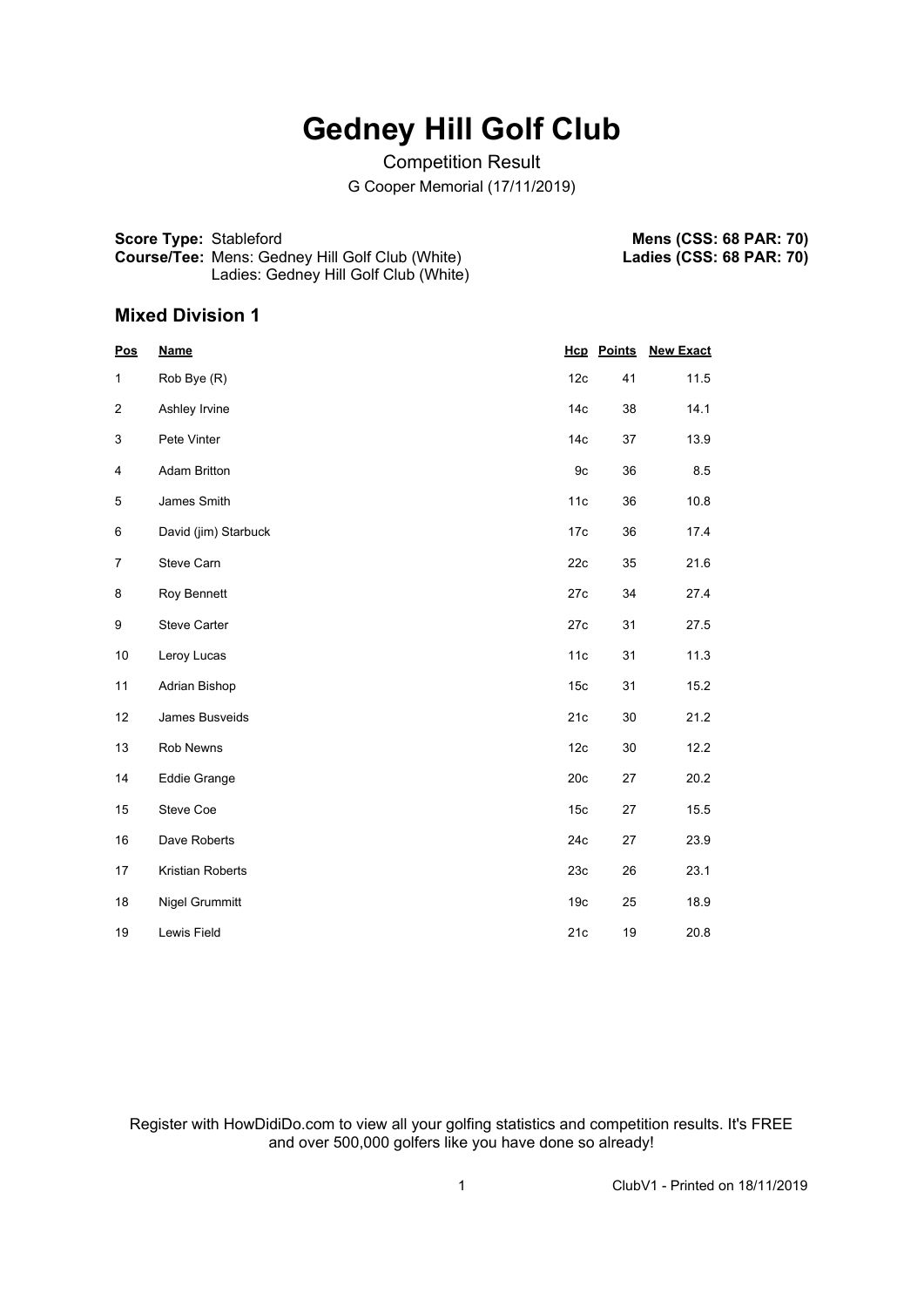## **Gedney Hill Golf Club**

#### Competition Result

G Cooper Memorial (17/11/2019)

**Score Type:** Stableford **Course/Tee:** Mens: Gedney Hill Golf Club (White) Ladies: Gedney Hill Golf Club (White)

**Mens (CSS: 68 PAR: 70) Ladies (CSS: 68 PAR: 70)**

#### **Mixed Division 1**

| Pos            | <b>Name</b>          |                 | <b>Hcp</b> Points | <b>New Exact</b> |
|----------------|----------------------|-----------------|-------------------|------------------|
| 1              | Rob Bye (R)          | 12c             | 41                | 11.5             |
| 2              | Ashley Irvine        | 14 <sub>c</sub> | 38                | 14.1             |
| 3              | Pete Vinter          | 14 <sub>c</sub> | 37                | 13.9             |
| 4              | <b>Adam Britton</b>  | 9c              | 36                | 8.5              |
| 5              | James Smith          | 11c             | 36                | 10.8             |
| 6              | David (jim) Starbuck | 17c             | 36                | 17.4             |
| $\overline{7}$ | Steve Carn           | 22c             | 35                | 21.6             |
| 8              | Roy Bennett          | 27c             | 34                | 27.4             |
| 9              | <b>Steve Carter</b>  | 27c             | 31                | 27.5             |
| 10             | Leroy Lucas          | 11c             | 31                | 11.3             |
| 11             | Adrian Bishop        | 15 <sub>c</sub> | 31                | 15.2             |
| 12             | James Busveids       | 21c             | 30                | 21.2             |
| 13             | Rob Newns            | 12c             | 30                | 12.2             |
| 14             | <b>Eddie Grange</b>  | 20c             | 27                | 20.2             |
| 15             | Steve Coe            | 15 <sub>c</sub> | 27                | 15.5             |
| 16             | Dave Roberts         | 24c             | 27                | 23.9             |
| 17             | Kristian Roberts     | 23c             | 26                | 23.1             |
| 18             | Nigel Grummitt       | 19 <sub>c</sub> | 25                | 18.9             |
| 19             | Lewis Field          | 21c             | 19                | 20.8             |

Register with HowDidiDo.com to view all your golfing statistics and competition results. It's FREE and over 500,000 golfers like you have done so already!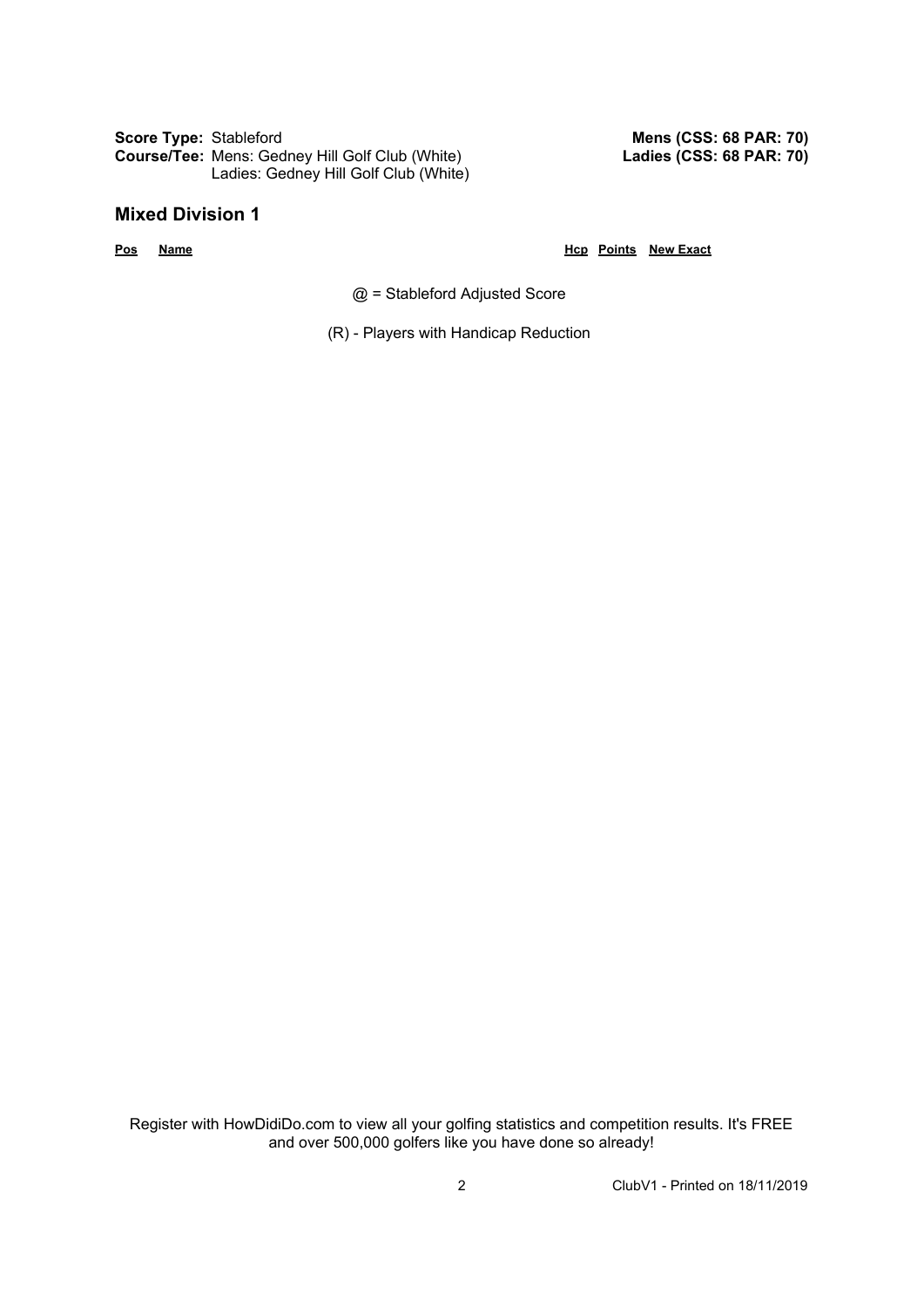**Score Type:** Stableford **Course/Tee:** Mens: Gedney Hill Golf Club (White) Ladies: Gedney Hill Golf Club (White)

#### **Mixed Division 1**

**Pos Name Hcp Points New Exact**

**Mens (CSS: 68 PAR: 70) Ladies (CSS: 68 PAR: 70)**

@ = Stableford Adjusted Score

(R) - Players with Handicap Reduction

Register with HowDidiDo.com to view all your golfing statistics and competition results. It's FREE and over 500,000 golfers like you have done so already!